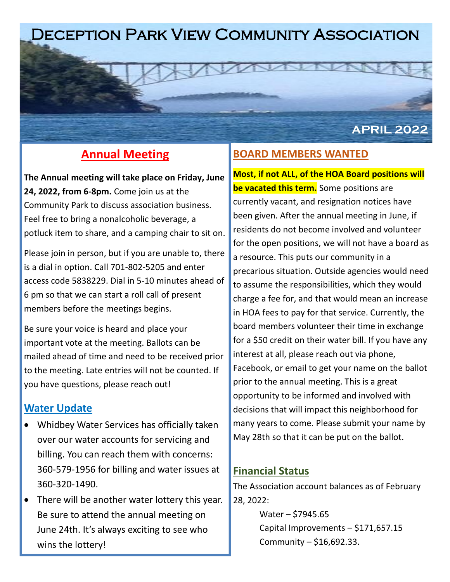# Deception Park View Community Association

## **Annual Meeting**

**The Annual meeting will take place on Friday, June 24, 2022, from 6-8pm.** Come join us at the Community Park to discuss association business. Feel free to bring a nonalcoholic beverage, a potluck item to share, and a camping chair to sit on.

Please join in person, but if you are unable to, there is a dial in option. Call 701-802-5205 and enter access code 5838229. Dial in 5-10 minutes ahead of 6 pm so that we can start a roll call of present members before the meetings begins.

Be sure your voice is heard and place your important vote at the meeting. Ballots can be mailed ahead of time and need to be received prior to the meeting. Late entries will not be counted. If you have questions, please reach out!

#### **Water Update**

- Whidbey Water Services has officially taken over our water accounts for servicing and billing. You can reach them with concerns: 360-579-1956 for billing and water issues at 360-320-1490.
- There will be another water lottery this year. Be sure to attend the annual meeting on June 24th. It's always exciting to see who wins the lottery!

## **BOARD MEMBERS WANTED**

**Most, if not ALL, of the HOA Board positions will be vacated this term.** Some positions are currently vacant, and resignation notices have been given. After the annual meeting in June, if residents do not become involved and volunteer for the open positions, we will not have a board as a resource. This puts our community in a precarious situation. Outside agencies would need to assume the responsibilities, which they would charge a fee for, and that would mean an increase in HOA fees to pay for that service. Currently, the board members volunteer their time in exchange for a \$50 credit on their water bill. If you have any interest at all, please reach out via phone, Facebook, or email to get your name on the ballot prior to the annual meeting. This is a great opportunity to be informed and involved with decisions that will impact this neighborhood for many years to come. Please submit your name by May 28th so that it can be put on the ballot.

**APRIL 2022**

#### **Financial Status**

The Association account balances as of February 28, 2022:

> Water – \$7945.65 Capital Improvements – \$171,657.15 Community – \$16,692.33.